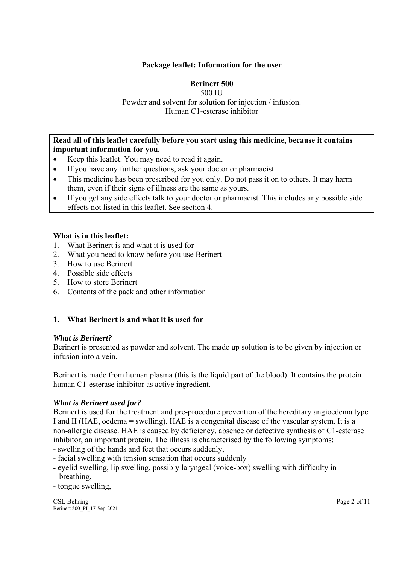## **Package leaflet: Information for the user**

## **Berinert 500**

#### 500 IU Powder and solvent for solution for injection / infusion. Human C1-esterase inhibitor

#### **Read all of this leaflet carefully before you start using this medicine, because it contains important information for you.**

- Keep this leaflet. You may need to read it again.
- If you have any further questions, ask your doctor or pharmacist.
- This medicine has been prescribed for you only. Do not pass it on to others. It may harm them, even if their signs of illness are the same as yours.
- If you get any side effects talk to your doctor or pharmacist. This includes any possible side effects not listed in this leaflet. See section 4.

## **What is in this leaflet:**

- 1. What Berinert is and what it is used for
- 2. What you need to know before you use Berinert
- 3. How to use Berinert
- 4. Possible side effects
- 5. How to store Berinert
- 6. Contents of the pack and other information

## **1. What Berinert is and what it is used for**

#### *What is Berinert?*

Berinert is presented as powder and solvent. The made up solution is to be given by injection or infusion into a vein.

Berinert is made from human plasma (this is the liquid part of the blood). It contains the protein human C1-esterase inhibitor as active ingredient.

#### *What is Berinert used for?*

Berinert is used for the treatment and pre-procedure prevention of the hereditary angioedema type I and II (HAE, oedema = swelling). HAE is a congenital disease of the vascular system. It is a non-allergic disease. HAE is caused by deficiency, absence or defective synthesis of C1-esterase inhibitor, an important protein. The illness is characterised by the following symptoms:

- swelling of the hands and feet that occurs suddenly,
- facial swelling with tension sensation that occurs suddenly
- eyelid swelling, lip swelling, possibly laryngeal (voice-box) swelling with difficulty in breathing,
- tongue swelling,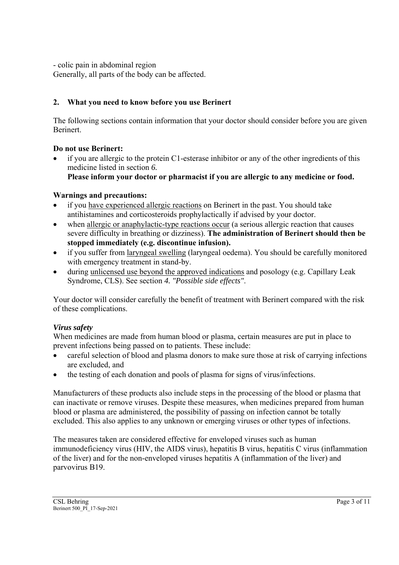- colic pain in abdominal region

Generally, all parts of the body can be affected.

# **2. What you need to know before you use Berinert**

The following sections contain information that your doctor should consider before you are given Berinert.

# **Do not use Berinert:**

 if you are allergic to the protein C1-esterase inhibitor or any of the other ingredients of this medicine listed in section *6.*  **Please inform your doctor or pharmacist if you are allergic to any medicine or food.**

# **Warnings and precautions:**

- if you have experienced allergic reactions on Berinert in the past. You should take antihistamines and corticosteroids prophylactically if advised by your doctor.
- when allergic or anaphylactic-type reactions occur (a serious allergic reaction that causes severe difficulty in breathing or dizziness). **The administration of Berinert should then be stopped immediately (e.g. discontinue infusion).**
- if you suffer from laryngeal swelling (laryngeal oedema). You should be carefully monitored with emergency treatment in stand-by.
- during unlicensed use beyond the approved indications and posology (e.g. Capillary Leak Syndrome, CLS). See section *4. "Possible side effects"*.

Your doctor will consider carefully the benefit of treatment with Berinert compared with the risk of these complications.

# *Virus safety*

When medicines are made from human blood or plasma, certain measures are put in place to prevent infections being passed on to patients. These include:

- careful selection of blood and plasma donors to make sure those at risk of carrying infections are excluded, and
- the testing of each donation and pools of plasma for signs of virus/infections.

Manufacturers of these products also include steps in the processing of the blood or plasma that can inactivate or remove viruses. Despite these measures, when medicines prepared from human blood or plasma are administered, the possibility of passing on infection cannot be totally excluded. This also applies to any unknown or emerging viruses or other types of infections.

The measures taken are considered effective for enveloped viruses such as human immunodeficiency virus (HIV, the AIDS virus), hepatitis B virus, hepatitis C virus (inflammation of the liver) and for the non-enveloped viruses hepatitis A (inflammation of the liver) and parvovirus B19.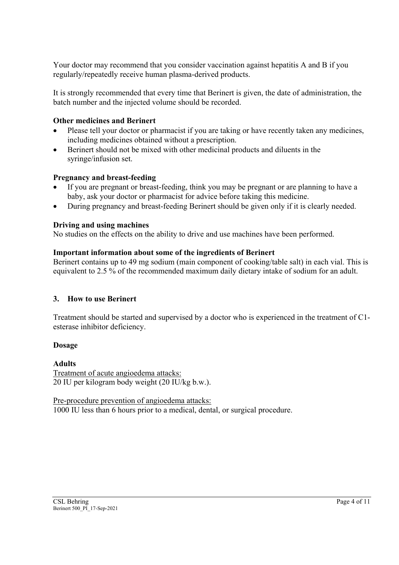Your doctor may recommend that you consider vaccination against hepatitis A and B if you regularly/repeatedly receive human plasma-derived products.

It is strongly recommended that every time that Berinert is given, the date of administration, the batch number and the injected volume should be recorded.

## **Other medicines and Berinert**

- Please tell your doctor or pharmacist if you are taking or have recently taken any medicines, including medicines obtained without a prescription.
- Berinert should not be mixed with other medicinal products and diluents in the syringe/infusion set.

## **Pregnancy and breast-feeding**

- If you are pregnant or breast-feeding, think you may be pregnant or are planning to have a baby, ask your doctor or pharmacist for advice before taking this medicine.
- During pregnancy and breast-feeding Berinert should be given only if it is clearly needed.

## **Driving and using machines**

No studies on the effects on the ability to drive and use machines have been performed.

## **Important information about some of the ingredients of Berinert**

Berinert contains up to 49 mg sodium (main component of cooking/table salt) in each vial. This is equivalent to 2.5 % of the recommended maximum daily dietary intake of sodium for an adult.

## **3. How to use Berinert**

Treatment should be started and supervised by a doctor who is experienced in the treatment of C1 esterase inhibitor deficiency.

## **Dosage**

## **Adults**

Treatment of acute angioedema attacks: 20 IU per kilogram body weight (20 IU/kg b.w.).

Pre-procedure prevention of angioedema attacks: 1000 IU less than 6 hours prior to a medical, dental, or surgical procedure.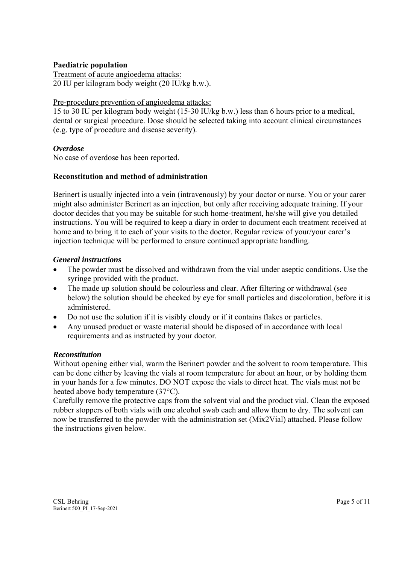### **Paediatric population**

Treatment of acute angioedema attacks: 20 IU per kilogram body weight (20 IU/kg b.w.).

#### Pre-procedure prevention of angioedema attacks:

15 to 30 IU per kilogram body weight (15-30 IU/kg b.w.) less than 6 hours prior to a medical, dental or surgical procedure. Dose should be selected taking into account clinical circumstances (e.g. type of procedure and disease severity).

#### *Overdose*

No case of overdose has been reported.

#### **Reconstitution and method of administration**

Berinert is usually injected into a vein (intravenously) by your doctor or nurse. You or your carer might also administer Berinert as an injection, but only after receiving adequate training. If your doctor decides that you may be suitable for such home-treatment, he/she will give you detailed instructions. You will be required to keep a diary in order to document each treatment received at home and to bring it to each of your visits to the doctor. Regular review of your/your carer's injection technique will be performed to ensure continued appropriate handling.

#### *General instructions*

- The powder must be dissolved and withdrawn from the vial under aseptic conditions. Use the syringe provided with the product.
- The made up solution should be colourless and clear. After filtering or withdrawal (see below) the solution should be checked by eye for small particles and discoloration, before it is administered.
- Do not use the solution if it is visibly cloudy or if it contains flakes or particles.
- Any unused product or waste material should be disposed of in accordance with local requirements and as instructed by your doctor.

## *Reconstitution*

Without opening either vial, warm the Berinert powder and the solvent to room temperature. This can be done either by leaving the vials at room temperature for about an hour, or by holding them in your hands for a few minutes. DO NOT expose the vials to direct heat. The vials must not be heated above body temperature (37°C).

Carefully remove the protective caps from the solvent vial and the product vial. Clean the exposed rubber stoppers of both vials with one alcohol swab each and allow them to dry. The solvent can now be transferred to the powder with the administration set (Mix2Vial) attached. Please follow the instructions given below.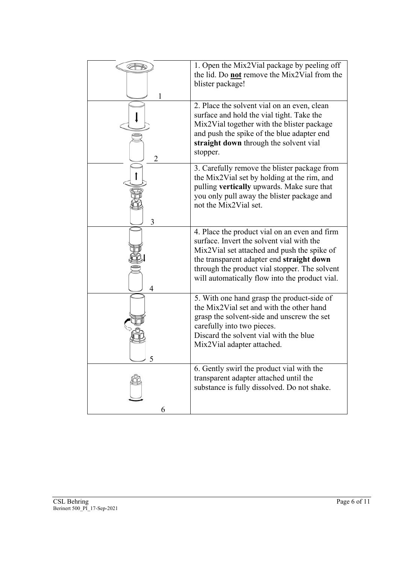| 1 | 1. Open the Mix2Vial package by peeling off<br>the lid. Do <b>not</b> remove the Mix2Vial from the<br>blister package!                                                                                                                                                                    |
|---|-------------------------------------------------------------------------------------------------------------------------------------------------------------------------------------------------------------------------------------------------------------------------------------------|
| 2 | 2. Place the solvent vial on an even, clean<br>surface and hold the vial tight. Take the<br>Mix2Vial together with the blister package<br>and push the spike of the blue adapter end<br>straight down through the solvent vial<br>stopper.                                                |
| 3 | 3. Carefully remove the blister package from<br>the Mix2Vial set by holding at the rim, and<br>pulling vertically upwards. Make sure that<br>you only pull away the blister package and<br>not the Mix2Vial set.                                                                          |
| 4 | 4. Place the product vial on an even and firm<br>surface. Invert the solvent vial with the<br>Mix2Vial set attached and push the spike of<br>the transparent adapter end straight down<br>through the product vial stopper. The solvent<br>will automatically flow into the product vial. |
|   | 5. With one hand grasp the product-side of<br>the Mix2Vial set and with the other hand<br>grasp the solvent-side and unscrew the set<br>carefully into two pieces.<br>Discard the solvent vial with the blue<br>Mix2Vial adapter attached.                                                |
| 6 | 6. Gently swirl the product vial with the<br>transparent adapter attached until the<br>substance is fully dissolved. Do not shake.                                                                                                                                                        |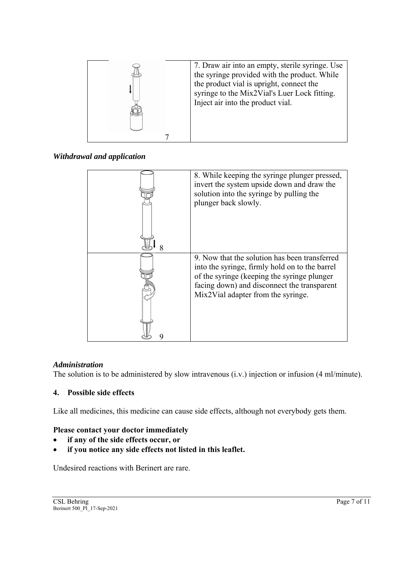

*Withdrawal and application* 

| 8. While keeping the syringe plunger pressed,<br>invert the system upside down and draw the<br>solution into the syringe by pulling the<br>plunger back slowly.                                                                     |
|-------------------------------------------------------------------------------------------------------------------------------------------------------------------------------------------------------------------------------------|
| 9. Now that the solution has been transferred<br>into the syringe, firmly hold on to the barrel<br>of the syringe (keeping the syringe plunger<br>facing down) and disconnect the transparent<br>Mix2Vial adapter from the syringe. |

# *Administration*

The solution is to be administered by slow intravenous (i.v.) injection or infusion (4 ml/minute).

# **4. Possible side effects**

Like all medicines, this medicine can cause side effects, although not everybody gets them.

## **Please contact your doctor immediately**

- **if any of the side effects occur, or**
- **if you notice any side effects not listed in this leaflet.**

Undesired reactions with Berinert are rare.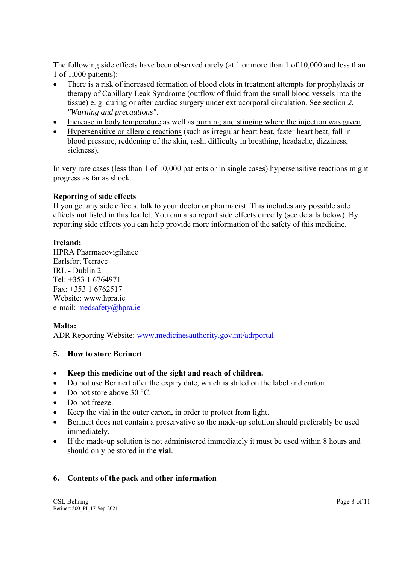The following side effects have been observed rarely (at 1 or more than 1 of 10,000 and less than 1 of 1,000 patients):

- There is a risk of increased formation of blood clots in treatment attempts for prophylaxis or therapy of Capillary Leak Syndrome (outflow of fluid from the small blood vessels into the tissue) e. g. during or after cardiac surgery under extracorporal circulation. See section *2. "Warning and precautions"*.
- Increase in body temperature as well as burning and stinging where the injection was given.
- Hypersensitive or allergic reactions (such as irregular heart beat, faster heart beat, fall in blood pressure, reddening of the skin, rash, difficulty in breathing, headache, dizziness, sickness).

In very rare cases (less than 1 of 10,000 patients or in single cases) hypersensitive reactions might progress as far as shock.

## **Reporting of side effects**

If you get any side effects, talk to your doctor or pharmacist. This includes any possible side effects not listed in this leaflet. You can also report side effects directly (see details below). By reporting side effects you can help provide more information of the safety of this medicine.

## **Ireland:**

HPRA Pharmacovigilance Earlsfort Terrace IRL - Dublin 2 Tel: +353 1 6764971 Fax: +353 1 6762517 Website: www.hpra.ie e-mail: medsafety@hpra.ie

# **Malta:**

ADR Reporting Website: www.medicinesauthority.gov.mt/adrportal

# **5. How to store Berinert**

- **Keep this medicine out of the sight and reach of children.**
- Do not use Berinert after the expiry date, which is stated on the label and carton.
- Do not store above 30 °C.
- Do not freeze.
- Keep the vial in the outer carton, in order to protect from light.
- Berinert does not contain a preservative so the made-up solution should preferably be used immediately.
- If the made-up solution is not administered immediately it must be used within 8 hours and should only be stored in the **vial**.

# **6. Contents of the pack and other information**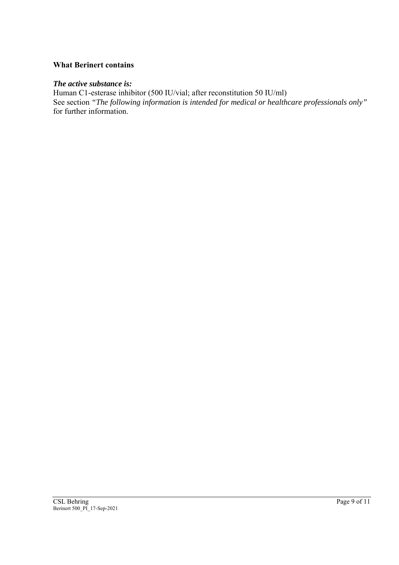## **What Berinert contains**

#### *The active substance is:*

Human C1-esterase inhibitor (500 IU/vial; after reconstitution 50 IU/ml) See section *"The following information is intended for medical or healthcare professionals only"*  for further information.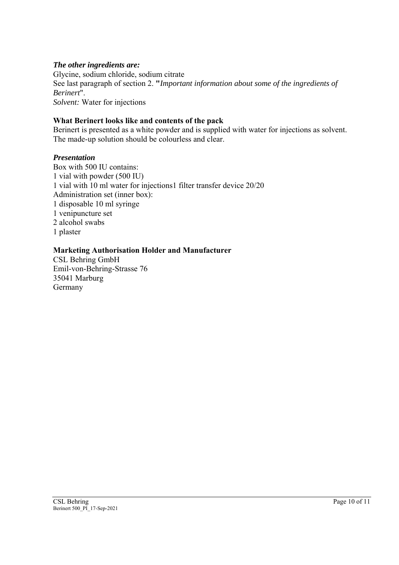## *The other ingredients are:*

Glycine, sodium chloride, sodium citrate See last paragraph of section 2. **"***Important information about some of the ingredients of Berinert*". *Solvent:* Water for injections

## **What Berinert looks like and contents of the pack**

Berinert is presented as a white powder and is supplied with water for injections as solvent. The made-up solution should be colourless and clear.

#### *Presentation*

Box with 500 IU contains: 1 vial with powder (500 IU) 1 vial with 10 ml water for injections1 filter transfer device 20/20 Administration set (inner box): 1 disposable 10 ml syringe 1 venipuncture set 2 alcohol swabs 1 plaster

## **Marketing Authorisation Holder and Manufacturer**

CSL Behring GmbH Emil-von-Behring-Strasse 76 35041 Marburg Germany